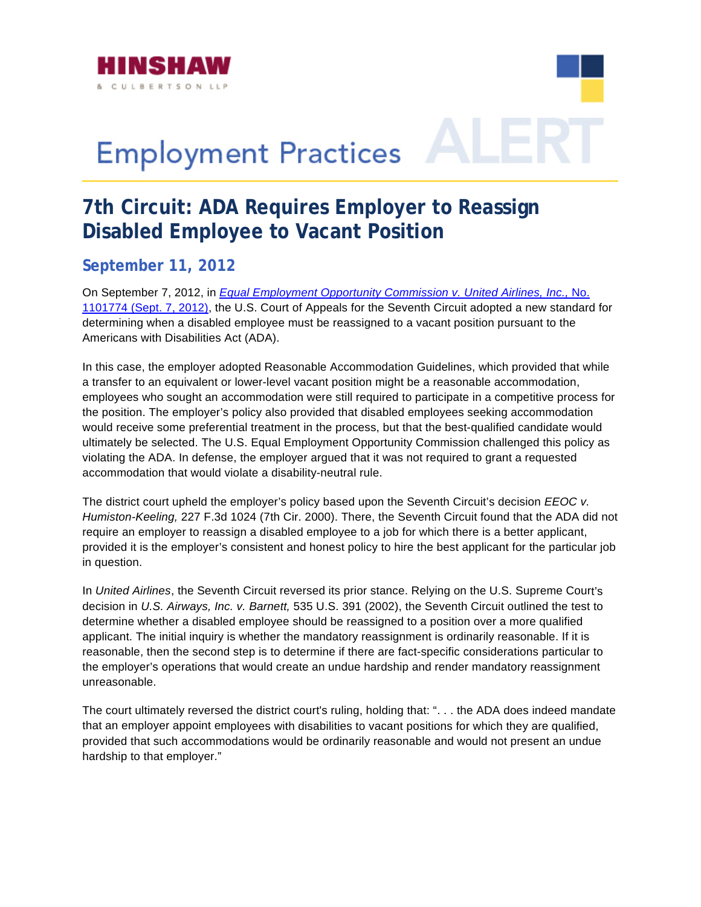

## **Employment Practices**

## **7th Circuit: ADA Requires Employer to Reassign Disabled Employee to Vacant Position**

## **September 11, 2012**

On September 7, 2012, in *[Equal Employment Opportunity Commission v. United Airlines, Inc.,](http://www.hinshawlaw.com/files/upload/EEOCv.UnitedAirlines.pdf)* No. [1101774 \(Sept. 7, 2012\)](http://www.hinshawlaw.com/files/upload/EEOCv.UnitedAirlines.pdf), the U.S. Court of Appeals for the Seventh Circuit adopted a new standard for determining when a disabled employee must be reassigned to a vacant position pursuant to the Americans with Disabilities Act (ADA).

In this case, the employer adopted Reasonable Accommodation Guidelines, which provided that while employees who sought an accommodation were still required to participate in a competitive process for ultimately be selected. The U.S. Equal Employment Opportunity Commission challenged this policy as violating the ADA. In defense, the employer argued that it was not required to grant a requested a transfer to an equivalent or lower-level vacant position might be a reasonable accommodation, the position. The employer's policy also provided that disabled employees seeking accommodation would receive some preferential treatment in the process, but that the best-qualified candidate would accommodation that would violate a disability-neutral rule.

provided it is the employer's consistent and honest policy to hire the best applicant for the particular job The district court upheld the employer's policy based upon the Seventh Circuit's decision *EEOC v. Humiston-Keeling,* 227 F.3d 1024 (7th Cir. 2000). There, the Seventh Circuit found that the ADA did not require an employer to reassign a disabled employee to a job for which there is a better applicant, in question.

In *United Airlines*, the Seventh Circuit reversed its prior stance. Relying on the U.S. Supreme Court's decision in U.S. Airways, Inc. v. Barnett, 535 U.S. 391 (2002), the Seventh Circuit outlined the test to reasonable, then the second step is to determine if there are fact-specific considerations particular to determine whether a disabled employee should be reassigned to a position over a more qualified applicant. The initial inquiry is whether the mandatory reassignment is ordinarily reasonable. If it is the employer's operations that would create an undue hardship and render mandatory reassignment unreasonable.

that an employer appoint employees with disabilities to vacant positions for which they are qualified, provided that such accommodations would be ordinarily reasonable and would not present an undue The court ultimately reversed the district court's ruling, holding that: ". . . the ADA does indeed mandate hardship to that employer."